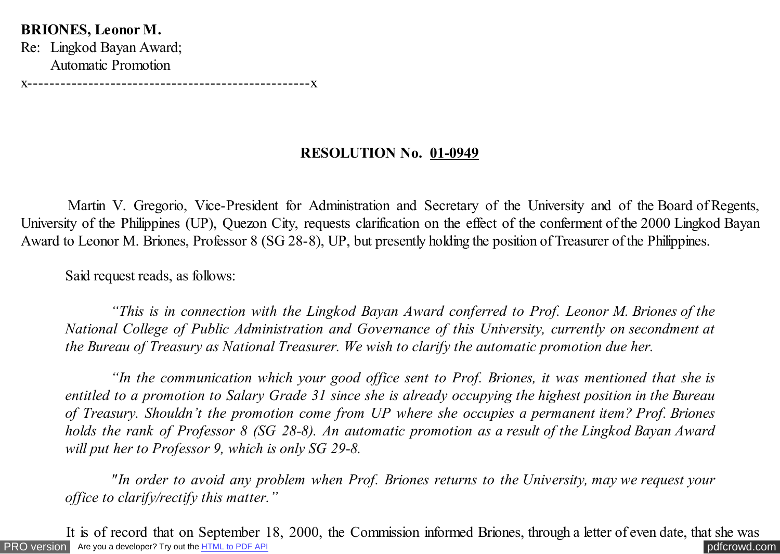## **BRIONES, Leonor M.**

Re: Lingkod Bayan Award; Automatic Promotion

x---------------------------------------------------x

## **RESOLUTION No. 01-0949**

 Martin V. Gregorio, Vice-President for Administration and Secretary of the University and of the Board of Regents, University of the Philippines (UP), Quezon City, requests clarification on the effect of the conferment of the 2000 Lingkod Bayan Award to Leonor M. Briones, Professor 8 (SG 28-8), UP, but presently holding the position of Treasurer of the Philippines.

Said request reads, as follows:

 *"This is in connection with the Lingkod Bayan Award conferred to Prof. Leonor M. Briones of the National College of Public Administration and Governance of this University, currently on secondment at the Bureau of Treasury as National Treasurer. We wish to clarify the automatic promotion due her.*

 *"In the communication which your good office sent to Prof. Briones, it was mentioned that she is entitled to a promotion to Salary Grade 31 since she is already occupying the highest position in the Bureau of Treasury. Shouldn't the promotion come from UP where she occupies a permanent item? Prof. Briones holds the rank of Professor 8 (SG 28-8). An automatic promotion as a result of the Lingkod Bayan Award will put her to Professor 9, which is only SG 29-8.*

 *"In order to avoid any problem when Prof. Briones returns to the University, may we request your office to clarify/rectify this matter."*

[PRO version](http://pdfcrowd.com/customize/) Are you a developer? Try out the **HTML to PDF API [pdfcrowd.com](http://pdfcrowd.com)** It is of record that on September 18, 2000, the Commission informed Briones, through a letter of even date, that she was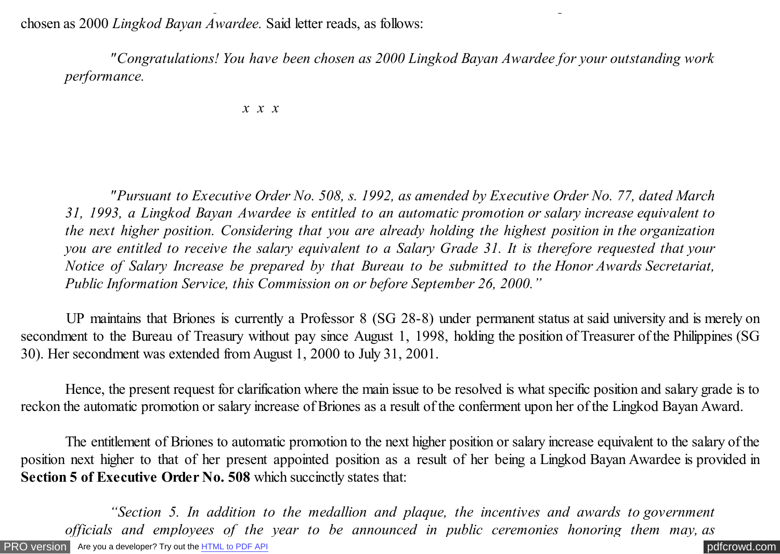chosen as 2000 *Lingkod Bayan Awardee.* Said letter reads, as follows:

 *"Congratulations! You have been chosen as 2000 Lingkod Bayan Awardee for your outstanding work performance.*

It is of record that on September 18, 2000, the Commission informed Briones, through a letter of even date, that she was

*x x x*

 *"Pursuant to Executive Order No. 508, s. 1992, as amended by Executive Order No. 77, dated March 31, 1993, a Lingkod Bayan Awardee is entitled to an automatic promotion or salary increase equivalent to the next higher position. Considering that you are already holding the highest position in the organization you are entitled to receive the salary equivalent to a Salary Grade 31. It is therefore requested that your Notice of Salary Increase be prepared by that Bureau to be submitted to the Honor Awards Secretariat, Public Information Service, this Commission on or before September 26, 2000."*

 UP maintains that Briones is currently a Professor 8 (SG 28-8) under permanent status at said university and is merely on secondment to the Bureau of Treasury without pay since August 1, 1998, holding the position of Treasurer of the Philippines (SG 30). Her secondment was extended from August 1, 2000 to July 31, 2001.

 Hence, the present request for clarification where the main issue to be resolved is what specific position and salary grade is to reckon the automatic promotion or salary increase of Briones as a result of the conferment upon her of the Lingkod Bayan Award.

 The entitlement of Briones to automatic promotion to the next higher position or salary increase equivalent to the salary of the position next higher to that of her present appointed position as a result of her being a Lingkod Bayan Awardee is provided in **Section 5 of Executive Order No. 508** which succinctly states that:

[PRO version](http://pdfcrowd.com/customize/) Are you a developer? Try out the **HTML to PDF API [pdfcrowd.com](http://pdfcrowd.com)** *"Section 5. In addition to the medallion and plaque, the incentives and awards to government officials and employees of the year to be announced in public ceremonies honoring them may, as*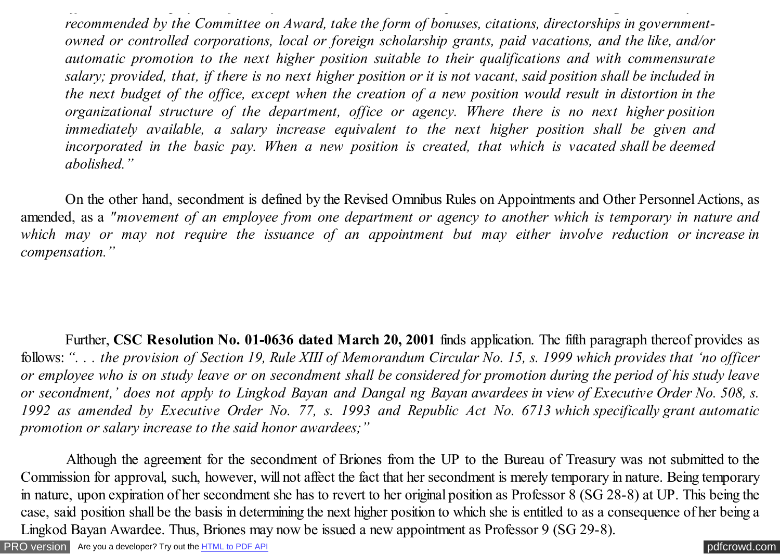*recommended by the Committee on Award, take the form of bonuses, citations, directorships in governmentowned or controlled corporations, local or foreign scholarship grants, paid vacations, and the like, and/or automatic promotion to the next higher position suitable to their qualifications and with commensurate salary; provided, that, if there is no next higher position or it is not vacant, said position shall be included in the next budget of the office, except when the creation of a new position would result in distortion in the organizational structure of the department, office or agency. Where there is no next higher position immediately available, a salary increase equivalent to the next higher position shall be given and incorporated in the basic pay. When a new position is created, that which is vacated shall be deemed abolished."*

*officials and employees of the year to be announced in public ceremonies honoring them may, as*

 On the other hand, secondment is defined by the Revised Omnibus Rules on Appointments and Other Personnel Actions, as amended, as a *"movement of an employee from one department or agency to another which is temporary in nature and which may or may not require the issuance of an appointment but may either involve reduction or increase in compensation."*

 Further, **CSC Resolution No. 01-0636 dated March 20, 2001** finds application. The fifth paragraph thereof provides as follows: *". . . the provision of Section 19, Rule XIII of Memorandum Circular No. 15, s. 1999 which provides that 'no officer or employee who is on study leave or on secondment shall be considered for promotion during the period of his study leave or secondment,' does not apply to Lingkod Bayan and Dangal ng Bayan awardees in view of Executive Order No. 508, s. 1992 as amended by Executive Order No. 77, s. 1993 and Republic Act No. 6713 which specifically grant automatic promotion or salary increase to the said honor awardees;"*

 Although the agreement for the secondment of Briones from the UP to the Bureau of Treasury was not submitted to the Commission for approval, such, however, will not affect the fact that her secondment is merely temporary in nature. Being temporary in nature, upon expiration of her secondment she has to revert to her original position as Professor 8 (SG 28-8) at UP. This being the case, said position shall be the basis in determining the next higher position to which she is entitled to as a consequence of her being a Lingkod Bayan Awardee. Thus, Briones may now be issued a new appointment as Professor 9 (SG 29-8).

[PRO version](http://pdfcrowd.com/customize/) Are you a developer? Try out th[e HTML to PDF API](http://pdfcrowd.com/html-to-pdf-api/?ref=pdf) contract the CHTML of PDF API [pdfcrowd.com](http://pdfcrowd.com)